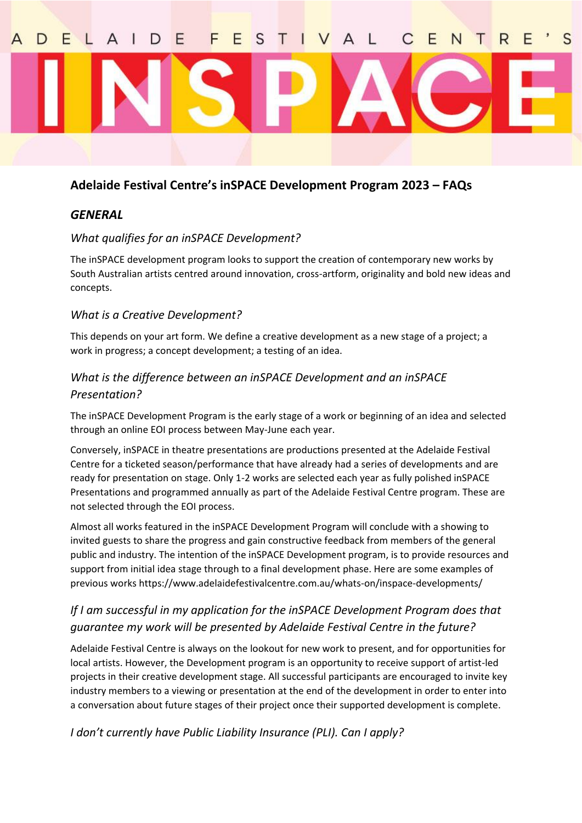# S

#### **Adelaide Festival Centre's inSPACE Development Program 2023 – FAQs**

#### *GENERAL*

#### *What qualifies for an inSPACE Development?*

The inSPACE development program looks to support the creation of contemporary new works by South Australian artists centred around innovation, cross-artform, originality and bold new ideas and concepts.

#### *What is a Creative Development?*

This depends on your art form. We define a creative development as a new stage of a project; a work in progress; a concept development; a testing of an idea.

#### *What is the difference between an inSPACE Development and an inSPACE Presentation?*

The inSPACE Development Program is the early stage of a work or beginning of an idea and selected through an online EOI process between May-June each year.

Conversely, inSPACE in theatre presentations are productions presented at the Adelaide Festival Centre for a ticketed season/performance that have already had a series of developments and are ready for presentation on stage. Only 1-2 works are selected each year as fully polished inSPACE Presentations and programmed annually as part of the Adelaide Festival Centre program. These are not selected through the EOI process.

Almost all works featured in the inSPACE Development Program will conclude with a showing to invited guests to share the progress and gain constructive feedback from members of the general public and industry. The intention of the inSPACE Development program, is to provide resources and support from initial idea stage through to a final development phase. Here are some examples of previous works https://www.adelaidefestivalcentre.com.au/whats-on/inspace-developments/

## *If I am successful in my application for the inSPACE Development Program does that guarantee my work will be presented by Adelaide Festival Centre in the future?*

Adelaide Festival Centre is always on the lookout for new work to present, and for opportunities for local artists. However, the Development program is an opportunity to receive support of artist-led projects in their creative development stage. All successful participants are encouraged to invite key industry members to a viewing or presentation at the end of the development in order to enter into a conversation about future stages of their project once their supported development is complete.

*I don't currently have Public Liability Insurance (PLI). Can I apply?*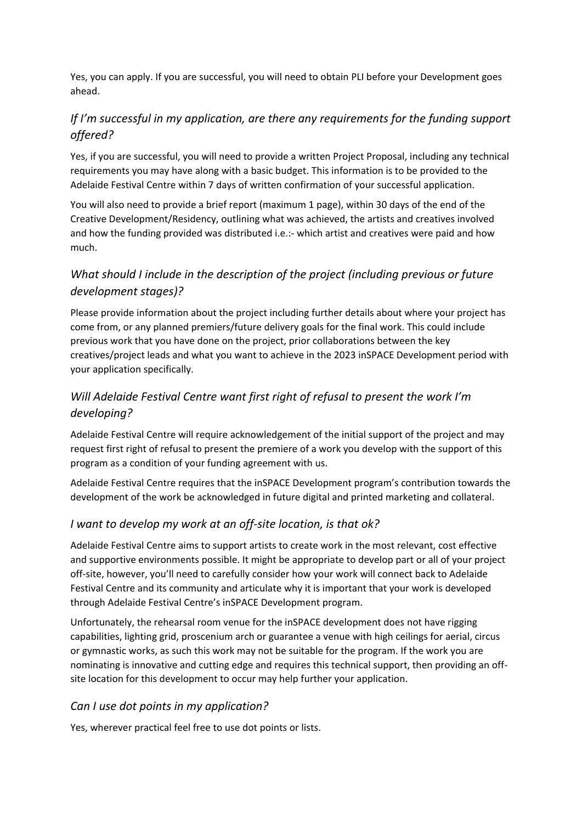Yes, you can apply. If you are successful, you will need to obtain PLI before your Development goes ahead.

# *If I'm successful in my application, are there any requirements for the funding support offered?*

Yes, if you are successful, you will need to provide a written Project Proposal, including any technical requirements you may have along with a basic budget. This information is to be provided to the Adelaide Festival Centre within 7 days of written confirmation of your successful application.

You will also need to provide a brief report (maximum 1 page), within 30 days of the end of the Creative Development/Residency, outlining what was achieved, the artists and creatives involved and how the funding provided was distributed i.e.:- which artist and creatives were paid and how much.

# *What should I include in the description of the project (including previous or future development stages)?*

Please provide information about the project including further details about where your project has come from, or any planned premiers/future delivery goals for the final work. This could include previous work that you have done on the project, prior collaborations between the key creatives/project leads and what you want to achieve in the 2023 inSPACE Development period with your application specifically.

# *Will Adelaide Festival Centre want first right of refusal to present the work I'm developing?*

Adelaide Festival Centre will require acknowledgement of the initial support of the project and may request first right of refusal to present the premiere of a work you develop with the support of this program as a condition of your funding agreement with us.

Adelaide Festival Centre requires that the inSPACE Development program's contribution towards the development of the work be acknowledged in future digital and printed marketing and collateral.

## *I want to develop my work at an off-site location, is that ok?*

Adelaide Festival Centre aims to support artists to create work in the most relevant, cost effective and supportive environments possible. It might be appropriate to develop part or all of your project off-site, however, you'll need to carefully consider how your work will connect back to Adelaide Festival Centre and its community and articulate why it is important that your work is developed through Adelaide Festival Centre's inSPACE Development program.

Unfortunately, the rehearsal room venue for the inSPACE development does not have rigging capabilities, lighting grid, proscenium arch or guarantee a venue with high ceilings for aerial, circus or gymnastic works, as such this work may not be suitable for the program. If the work you are nominating is innovative and cutting edge and requires this technical support, then providing an offsite location for this development to occur may help further your application.

## *Can I use dot points in my application?*

Yes, wherever practical feel free to use dot points or lists.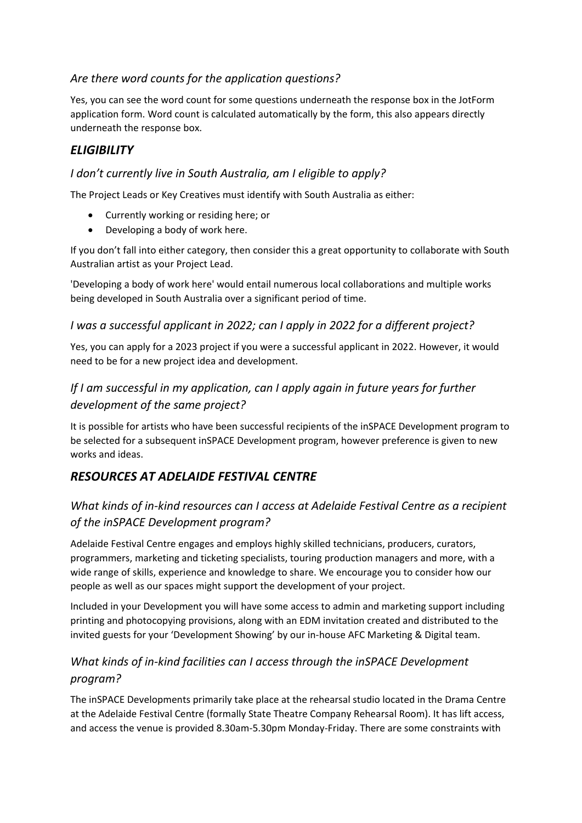#### *Are there word counts for the application questions?*

Yes, you can see the word count for some questions underneath the response box in the JotForm application form. Word count is calculated automatically by the form, this also appears directly underneath the response box.

## *ELIGIBILITY*

#### *I don't currently live in South Australia, am I eligible to apply?*

The Project Leads or Key Creatives must identify with South Australia as either:

- Currently working or residing here; or
- Developing a body of work here.

If you don't fall into either category, then consider this a great opportunity to collaborate with South Australian artist as your Project Lead.

'Developing a body of work here' would entail numerous local collaborations and multiple works being developed in South Australia over a significant period of time.

#### *I was a successful applicant in 2022; can I apply in 2022 for a different project?*

Yes, you can apply for a 2023 project if you were a successful applicant in 2022. However, it would need to be for a new project idea and development.

# *If I am successful in my application, can I apply again in future years for further development of the same project?*

It is possible for artists who have been successful recipients of the inSPACE Development program to be selected for a subsequent inSPACE Development program, however preference is given to new works and ideas.

# *RESOURCES AT ADELAIDE FESTIVAL CENTRE*

## *What kinds of in-kind resources can I access at Adelaide Festival Centre as a recipient of the inSPACE Development program?*

Adelaide Festival Centre engages and employs highly skilled technicians, producers, curators, programmers, marketing and ticketing specialists, touring production managers and more, with a wide range of skills, experience and knowledge to share. We encourage you to consider how our people as well as our spaces might support the development of your project.

Included in your Development you will have some access to admin and marketing support including printing and photocopying provisions, along with an EDM invitation created and distributed to the invited guests for your 'Development Showing' by our in-house AFC Marketing & Digital team.

## *What kinds of in-kind facilities can I access through the inSPACE Development program?*

The inSPACE Developments primarily take place at the rehearsal studio located in the Drama Centre at the Adelaide Festival Centre (formally State Theatre Company Rehearsal Room). It has lift access, and access the venue is provided 8.30am-5.30pm Monday-Friday. There are some constraints with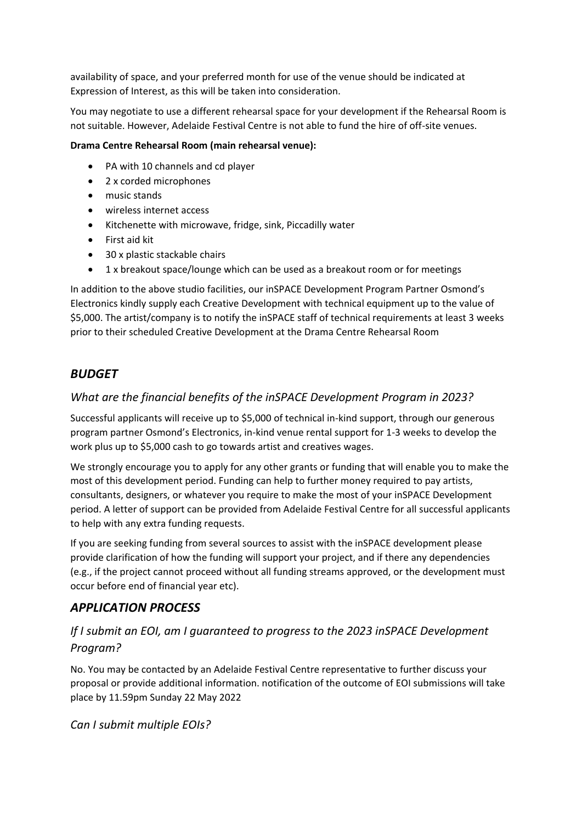availability of space, and your preferred month for use of the venue should be indicated at Expression of Interest, as this will be taken into consideration.

You may negotiate to use a different rehearsal space for your development if the Rehearsal Room is not suitable. However, Adelaide Festival Centre is not able to fund the hire of off-site venues.

#### **Drama Centre Rehearsal Room (main rehearsal venue):**

- PA with 10 channels and cd player
- 2 x corded microphones
- music stands
- wireless internet access
- Kitchenette with microwave, fridge, sink, Piccadilly water
- First aid kit
- 30 x plastic stackable chairs
- 1 x breakout space/lounge which can be used as a breakout room or for meetings

In addition to the above studio facilities, our inSPACE Development Program Partner Osmond's Electronics kindly supply each Creative Development with technical equipment up to the value of \$5,000. The artist/company is to notify the inSPACE staff of technical requirements at least 3 weeks prior to their scheduled Creative Development at the Drama Centre Rehearsal Room

#### *BUDGET*

#### *What are the financial benefits of the inSPACE Development Program in 2023?*

Successful applicants will receive up to \$5,000 of technical in-kind support, through our generous program partner Osmond's Electronics, in-kind venue rental support for 1-3 weeks to develop the work plus up to \$5,000 cash to go towards artist and creatives wages.

We strongly encourage you to apply for any other grants or funding that will enable you to make the most of this development period. Funding can help to further money required to pay artists, consultants, designers, or whatever you require to make the most of your inSPACE Development period. A letter of support can be provided from Adelaide Festival Centre for all successful applicants to help with any extra funding requests.

If you are seeking funding from several sources to assist with the inSPACE development please provide clarification of how the funding will support your project, and if there any dependencies (e.g., if the project cannot proceed without all funding streams approved, or the development must occur before end of financial year etc).

#### *APPLICATION PROCESS*

## *If I submit an EOI, am I guaranteed to progress to the 2023 inSPACE Development Program?*

No. You may be contacted by an Adelaide Festival Centre representative to further discuss your proposal or provide additional information. notification of the outcome of EOI submissions will take place by 11.59pm Sunday 22 May 2022

*Can I submit multiple EOIs?*